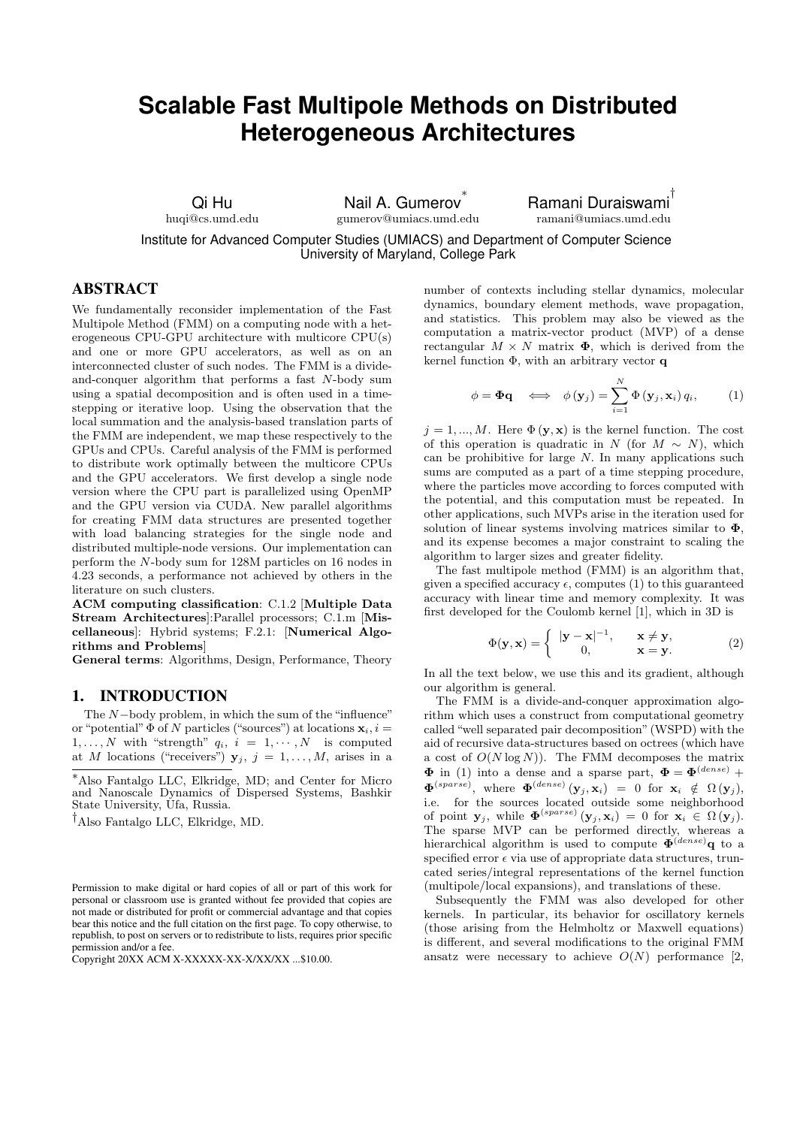# **Scalable Fast Multipole Methods on Distributed Heterogeneous Architectures**

Qi Hu

huqi@cs.umd.edu

Nail A. Gumerov ∗ gumerov@umiacs.umd.edu Ramani Duraiswami † ramani@umiacs.umd.edu

Institute for Advanced Computer Studies (UMIACS) and Department of Computer Science University of Maryland, College Park

# ABSTRACT

We fundamentally reconsider implementation of the Fast Multipole Method (FMM) on a computing node with a heterogeneous CPU-GPU architecture with multicore CPU(s) and one or more GPU accelerators, as well as on an interconnected cluster of such nodes. The FMM is a divideand-conquer algorithm that performs a fast N-body sum using a spatial decomposition and is often used in a timestepping or iterative loop. Using the observation that the local summation and the analysis-based translation parts of the FMM are independent, we map these respectively to the GPUs and CPUs. Careful analysis of the FMM is performed to distribute work optimally between the multicore CPUs and the GPU accelerators. We first develop a single node version where the CPU part is parallelized using OpenMP and the GPU version via CUDA. New parallel algorithms for creating FMM data structures are presented together with load balancing strategies for the single node and distributed multiple-node versions. Our implementation can perform the N-body sum for 128M particles on 16 nodes in 4.23 seconds, a performance not achieved by others in the literature on such clusters.

ACM computing classification: C.1.2 [Multiple Data Stream Architectures]:Parallel processors; C.1.m [Miscellaneous]: Hybrid systems; F.2.1: [Numerical Algorithms and Problems]

General terms: Algorithms, Design, Performance, Theory

# 1. INTRODUCTION

The N−body problem, in which the sum of the "influence" or "potential"  $\Phi$  of N particles ("sources") at locations  $\mathbf{x}_i, i =$  $1, \ldots, N$  with "strength"  $q_i, i = 1, \cdots, N$  is computed at M locations ("receivers")  $y_j$ ,  $j = 1, ..., M$ , arises in a

<sup>∗</sup>Also Fantalgo LLC, Elkridge, MD; and Center for Micro and Nanoscale Dynamics of Dispersed Systems, Bashkir State University, Ufa, Russia.

†Also Fantalgo LLC, Elkridge, MD.

Permission to make digital or hard copies of all or part of this work for personal or classroom use is granted without fee provided that copies are not made or distributed for profit or commercial advantage and that copies bear this notice and the full citation on the first page. To copy otherwise, to republish, to post on servers or to redistribute to lists, requires prior specific permission and/or a fee.

Copyright 20XX ACM X-XXXXX-XX-X/XX/XX ...\$10.00.

number of contexts including stellar dynamics, molecular dynamics, boundary element methods, wave propagation, and statistics. This problem may also be viewed as the computation a matrix-vector product (MVP) of a dense rectangular  $M \times N$  matrix  $\Phi$ , which is derived from the kernel function Φ, with an arbitrary vector q

$$
\phi = \mathbf{\Phi}\mathbf{q} \quad \Longleftrightarrow \quad \phi(\mathbf{y}_j) = \sum_{i=1}^N \Phi(\mathbf{y}_j, \mathbf{x}_i) q_i, \quad (1)
$$

 $j = 1, ..., M$ . Here  $\Phi(\mathbf{y}, \mathbf{x})$  is the kernel function. The cost of this operation is quadratic in N (for  $M \sim N$ ), which can be prohibitive for large N. In many applications such sums are computed as a part of a time stepping procedure, where the particles move according to forces computed with the potential, and this computation must be repeated. In other applications, such MVPs arise in the iteration used for solution of linear systems involving matrices similar to  $\Phi$ , and its expense becomes a major constraint to scaling the algorithm to larger sizes and greater fidelity.

The fast multipole method (FMM) is an algorithm that, given a specified accuracy  $\epsilon$ , computes (1) to this guaranteed accuracy with linear time and memory complexity. It was first developed for the Coulomb kernel [1], which in 3D is

$$
\Phi(\mathbf{y}, \mathbf{x}) = \begin{cases} |\mathbf{y} - \mathbf{x}|^{-1}, & \mathbf{x} \neq \mathbf{y}, \\ 0, & \mathbf{x} = \mathbf{y}. \end{cases}
$$
 (2)

In all the text below, we use this and its gradient, although our algorithm is general.

The FMM is a divide-and-conquer approximation algorithm which uses a construct from computational geometry called "well separated pair decomposition" (WSPD) with the aid of recursive data-structures based on octrees (which have a cost of  $O(N \log N)$ . The FMM decomposes the matrix  $\Phi$  in (1) into a dense and a sparse part,  $\Phi = \Phi^{(dense)}$  +  $\mathbf{\Phi}^{(sparse)}$ , where  $\mathbf{\Phi}^{(dense)}(\mathbf{y}_j, \mathbf{x}_i) = 0$  for  $\mathbf{x}_i \notin \Omega(\mathbf{y}_j)$ , i.e. for the sources located outside some neighborhood of point  $\mathbf{y}_j$ , while  $\mathbf{\Phi}^{(sparse)}(\mathbf{y}_j,\mathbf{x}_i) = 0$  for  $\mathbf{x}_i \in \Omega(\mathbf{y}_j)$ . The sparse MVP can be performed directly, whereas a hierarchical algorithm is used to compute  $\tilde{\Phi}^{(dense)}$ q to a specified error  $\epsilon$  via use of appropriate data structures, truncated series/integral representations of the kernel function (multipole/local expansions), and translations of these.

Subsequently the FMM was also developed for other kernels. In particular, its behavior for oscillatory kernels (those arising from the Helmholtz or Maxwell equations) is different, and several modifications to the original FMM ansatz were necessary to achieve  $O(N)$  performance [2,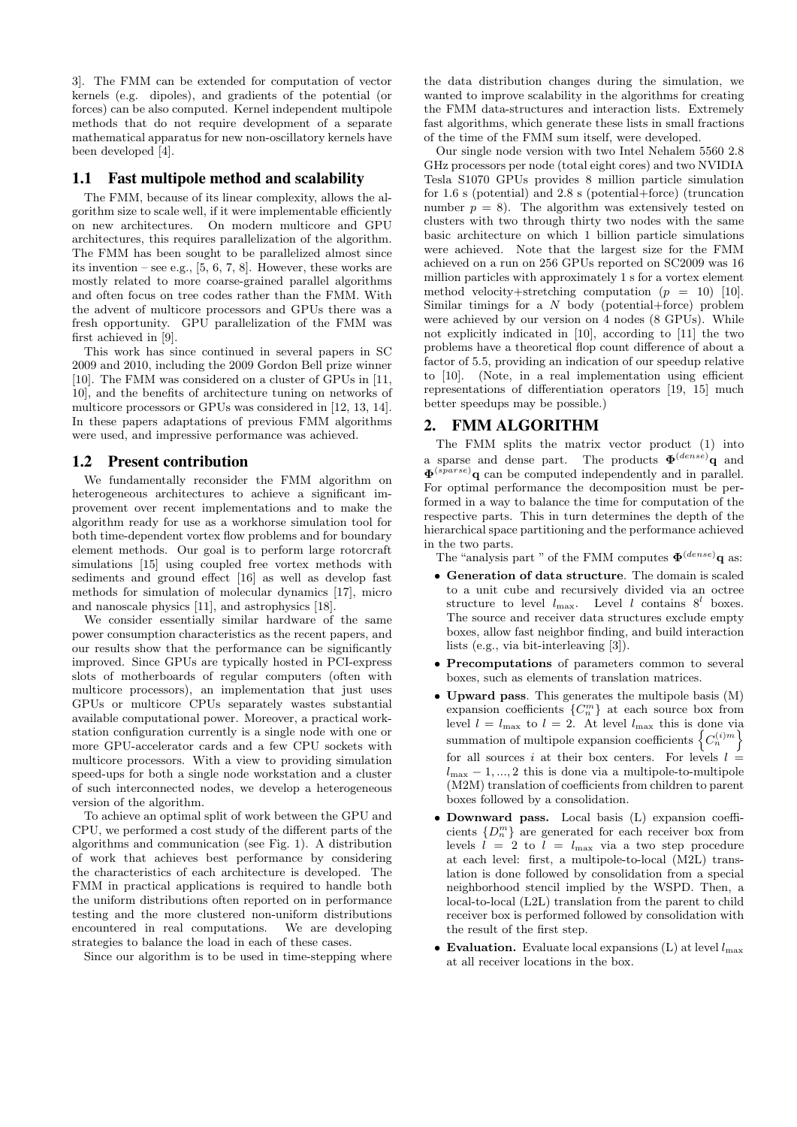3]. The FMM can be extended for computation of vector kernels (e.g. dipoles), and gradients of the potential (or forces) can be also computed. Kernel independent multipole methods that do not require development of a separate mathematical apparatus for new non-oscillatory kernels have been developed [4].

#### 1.1 Fast multipole method and scalability

The FMM, because of its linear complexity, allows the algorithm size to scale well, if it were implementable efficiently on new architectures. On modern multicore and GPU architectures, this requires parallelization of the algorithm. The FMM has been sought to be parallelized almost since its invention – see e.g.,  $[5, 6, 7, 8]$ . However, these works are mostly related to more coarse-grained parallel algorithms and often focus on tree codes rather than the FMM. With the advent of multicore processors and GPUs there was a fresh opportunity. GPU parallelization of the FMM was first achieved in [9].

This work has since continued in several papers in SC 2009 and 2010, including the 2009 Gordon Bell prize winner [10]. The FMM was considered on a cluster of GPUs in [11, 10], and the benefits of architecture tuning on networks of multicore processors or GPUs was considered in [12, 13, 14]. In these papers adaptations of previous FMM algorithms were used, and impressive performance was achieved.

## 1.2 Present contribution

We fundamentally reconsider the FMM algorithm on heterogeneous architectures to achieve a significant improvement over recent implementations and to make the algorithm ready for use as a workhorse simulation tool for both time-dependent vortex flow problems and for boundary element methods. Our goal is to perform large rotorcraft simulations [15] using coupled free vortex methods with sediments and ground effect [16] as well as develop fast methods for simulation of molecular dynamics [17], micro and nanoscale physics [11], and astrophysics [18].

We consider essentially similar hardware of the same power consumption characteristics as the recent papers, and our results show that the performance can be significantly improved. Since GPUs are typically hosted in PCI-express slots of motherboards of regular computers (often with multicore processors), an implementation that just uses GPUs or multicore CPUs separately wastes substantial available computational power. Moreover, a practical workstation configuration currently is a single node with one or more GPU-accelerator cards and a few CPU sockets with multicore processors. With a view to providing simulation speed-ups for both a single node workstation and a cluster of such interconnected nodes, we develop a heterogeneous version of the algorithm.

To achieve an optimal split of work between the GPU and CPU, we performed a cost study of the different parts of the algorithms and communication (see Fig. 1). A distribution of work that achieves best performance by considering the characteristics of each architecture is developed. The FMM in practical applications is required to handle both the uniform distributions often reported on in performance testing and the more clustered non-uniform distributions encountered in real computations. We are developing strategies to balance the load in each of these cases.

Since our algorithm is to be used in time-stepping where

the data distribution changes during the simulation, we wanted to improve scalability in the algorithms for creating the FMM data-structures and interaction lists. Extremely fast algorithms, which generate these lists in small fractions of the time of the FMM sum itself, were developed.

Our single node version with two Intel Nehalem 5560 2.8 GHz processors per node (total eight cores) and two NVIDIA Tesla S1070 GPUs provides 8 million particle simulation for 1.6 s (potential) and 2.8 s (potential+force) (truncation number  $p = 8$ ). The algorithm was extensively tested on clusters with two through thirty two nodes with the same basic architecture on which 1 billion particle simulations were achieved. Note that the largest size for the FMM achieved on a run on 256 GPUs reported on SC2009 was 16 million particles with approximately 1 s for a vortex element method velocity+stretching computation  $(p = 10)$  [10]. Similar timings for a  $N$  body (potential+force) problem were achieved by our version on 4 nodes (8 GPUs). While not explicitly indicated in [10], according to [11] the two problems have a theoretical flop count difference of about a factor of 5.5, providing an indication of our speedup relative to [10]. (Note, in a real implementation using efficient representations of differentiation operators [19, 15] much better speedups may be possible.)

#### 2. FMM ALGORITHM

The FMM splits the matrix vector product (1) into a sparse and dense part. The products  $\mathbf{\Phi}^{(dense)}$ **q** and  $\mathbf{\Phi}^{(sparse)}$ q can be computed independently and in parallel. For optimal performance the decomposition must be performed in a way to balance the time for computation of the respective parts. This in turn determines the depth of the hierarchical space partitioning and the performance achieved in the two parts.

The "analysis part " of the FMM computes  $\mathbf{\Phi}^{(dense)}$ q as:

- Generation of data structure. The domain is scaled to a unit cube and recursively divided via an octree structure to level  $l_{\text{max}}$ . Level l contains  $8^l$  boxes. The source and receiver data structures exclude empty boxes, allow fast neighbor finding, and build interaction lists (e.g., via bit-interleaving [3]).
- Precomputations of parameters common to several boxes, such as elements of translation matrices.
- Upward pass. This generates the multipole basis (M) expansion coefficients  ${C_n^m}$  at each source box from level  $l = l_{\text{max}}$  to  $l = 2$ . At level  $l_{\text{max}}$  this is done via summation of multipole expansion coefficients  $\left\{C_n^{(i)m}\right\}$ for all sources i at their box centers. For levels  $l =$  $l_{\text{max}} - 1, \ldots, 2$  this is done via a multipole-to-multipole (M2M) translation of coefficients from children to parent boxes followed by a consolidation.
- Downward pass. Local basis (L) expansion coefficients  $\{D_n^m\}$  are generated for each receiver box from levels  $l = 2$  to  $l = l_{\text{max}}$  via a two step procedure at each level: first, a multipole-to-local (M2L) translation is done followed by consolidation from a special neighborhood stencil implied by the WSPD. Then, a local-to-local (L2L) translation from the parent to child receiver box is performed followed by consolidation with the result of the first step.
- Evaluation. Evaluate local expansions  $(L)$  at level  $l_{\text{max}}$ at all receiver locations in the box.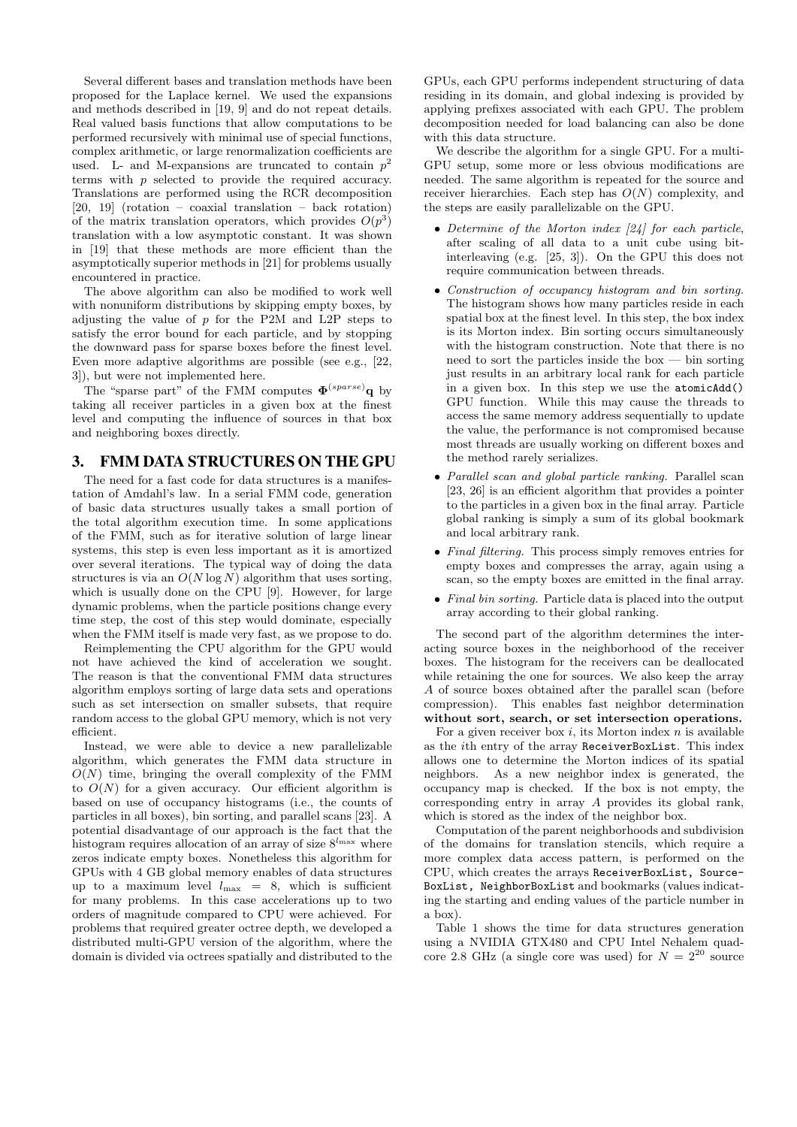Several different bases and translation methods have been proposed for the Laplace kernel. We used the expansions and methods described in [19, 9] and do not repeat details. Real valued basis functions that allow computations to be performed recursively with minimal use of special functions, complex arithmetic, or large renormalization coefficients are used. L- and M-expansions are truncated to contain  $p^2$ terms with p selected to provide the required accuracy. Translations are performed using the RCR decomposition [20, 19] (rotation – coaxial translation – back rotation) of the matrix translation operators, which provides  $O(p^3)$ translation with a low asymptotic constant. It was shown in [19] that these methods are more efficient than the asymptotically superior methods in [21] for problems usually encountered in practice.

The above algorithm can also be modified to work well with nonuniform distributions by skipping empty boxes, by adjusting the value of  $p$  for the P2M and L2P steps to satisfy the error bound for each particle, and by stopping the downward pass for sparse boxes before the finest level. Even more adaptive algorithms are possible (see e.g., [22, 3]), but were not implemented here.

The "sparse part" of the FMM computes  $\mathbf{\Phi}^{(sparse)}$ q by taking all receiver particles in a given box at the finest level and computing the influence of sources in that box and neighboring boxes directly.

# 3. FMM DATA STRUCTURES ON THE GPU

The need for a fast code for data structures is a manifestation of Amdahl's law. In a serial FMM code, generation of basic data structures usually takes a small portion of the total algorithm execution time. In some applications of the FMM, such as for iterative solution of large linear systems, this step is even less important as it is amortized over several iterations. The typical way of doing the data structures is via an  $O(N \log N)$  algorithm that uses sorting, which is usually done on the CPU [9]. However, for large dynamic problems, when the particle positions change every time step, the cost of this step would dominate, especially when the FMM itself is made very fast, as we propose to do.

Reimplementing the CPU algorithm for the GPU would not have achieved the kind of acceleration we sought. The reason is that the conventional FMM data structures algorithm employs sorting of large data sets and operations such as set intersection on smaller subsets, that require random access to the global GPU memory, which is not very efficient.

Instead, we were able to device a new parallelizable algorithm, which generates the FMM data structure in  $O(N)$  time, bringing the overall complexity of the FMM to  $O(N)$  for a given accuracy. Our efficient algorithm is based on use of occupancy histograms (i.e., the counts of particles in all boxes), bin sorting, and parallel scans [23]. A potential disadvantage of our approach is the fact that the histogram requires allocation of an array of size  $8^{l_{\text{max}}}$  where zeros indicate empty boxes. Nonetheless this algorithm for GPUs with 4 GB global memory enables of data structures up to a maximum level  $l_{\text{max}} = 8$ , which is sufficient for many problems. In this case accelerations up to two orders of magnitude compared to CPU were achieved. For problems that required greater octree depth, we developed a distributed multi-GPU version of the algorithm, where the domain is divided via octrees spatially and distributed to the

GPUs, each GPU performs independent structuring of data residing in its domain, and global indexing is provided by applying prefixes associated with each GPU. The problem decomposition needed for load balancing can also be done with this data structure.

We describe the algorithm for a single GPU. For a multi-GPU setup, some more or less obvious modifications are needed. The same algorithm is repeated for the source and receiver hierarchies. Each step has  $O(N)$  complexity, and the steps are easily parallelizable on the GPU.

- Determine of the Morton index [24] for each particle, after scaling of all data to a unit cube using bitinterleaving (e.g. [25, 3]). On the GPU this does not require communication between threads.
- Construction of occupancy histogram and bin sorting. The histogram shows how many particles reside in each spatial box at the finest level. In this step, the box index is its Morton index. Bin sorting occurs simultaneously with the histogram construction. Note that there is no need to sort the particles inside the box — bin sorting just results in an arbitrary local rank for each particle in a given box. In this step we use the atomicAdd() GPU function. While this may cause the threads to access the same memory address sequentially to update the value, the performance is not compromised because most threads are usually working on different boxes and the method rarely serializes.
- Parallel scan and global particle ranking. Parallel scan [23, 26] is an efficient algorithm that provides a pointer to the particles in a given box in the final array. Particle global ranking is simply a sum of its global bookmark and local arbitrary rank.
- Final filtering. This process simply removes entries for empty boxes and compresses the array, again using a scan, so the empty boxes are emitted in the final array.
- Final bin sorting. Particle data is placed into the output array according to their global ranking.

The second part of the algorithm determines the interacting source boxes in the neighborhood of the receiver boxes. The histogram for the receivers can be deallocated while retaining the one for sources. We also keep the array A of source boxes obtained after the parallel scan (before compression). This enables fast neighbor determination without sort, search, or set intersection operations.

For a given receiver box  $i$ , its Morton index  $n$  is available as the ith entry of the array ReceiverBoxList. This index allows one to determine the Morton indices of its spatial neighbors. As a new neighbor index is generated, the occupancy map is checked. If the box is not empty, the corresponding entry in array A provides its global rank, which is stored as the index of the neighbor box.

Computation of the parent neighborhoods and subdivision of the domains for translation stencils, which require a more complex data access pattern, is performed on the CPU, which creates the arrays ReceiverBoxList, Source-BoxList, NeighborBoxList and bookmarks (values indicating the starting and ending values of the particle number in a box).

Table 1 shows the time for data structures generation using a NVIDIA GTX480 and CPU Intel Nehalem quadcore 2.8 GHz (a single core was used) for  $N = 2^{20}$  source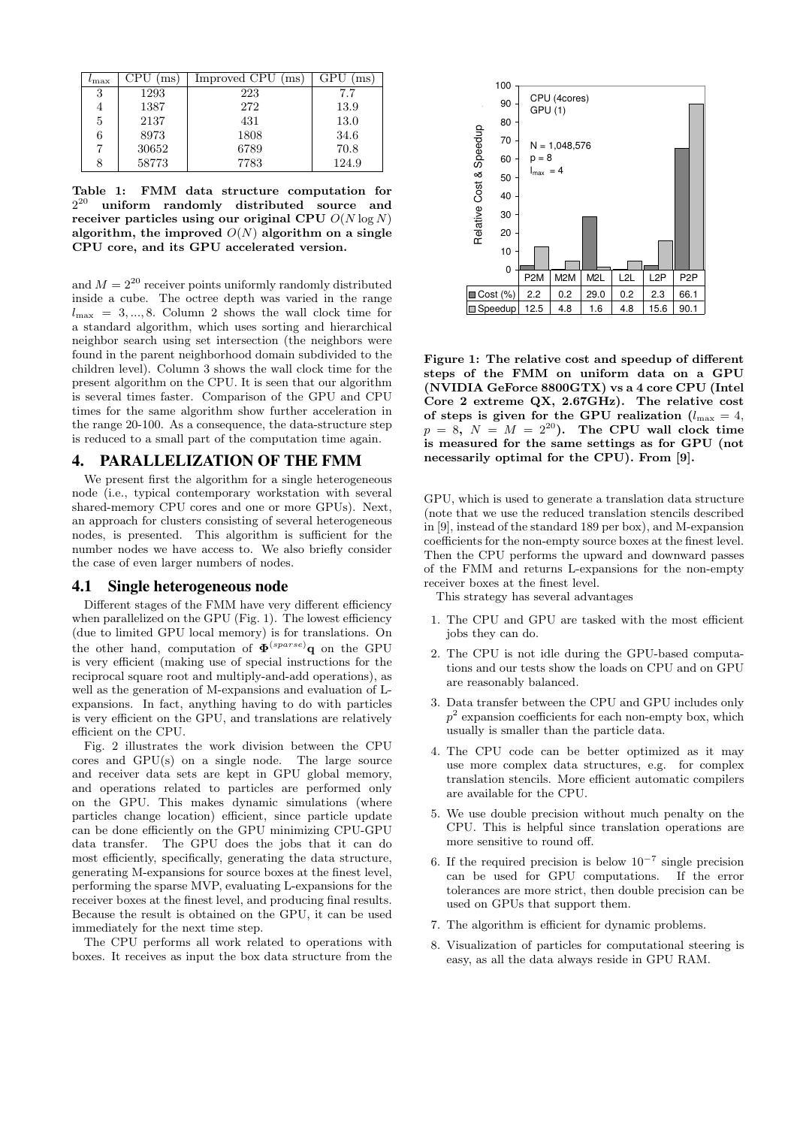| $\iota_{\max}$ | ms.   | Improved CPU<br>(ms) | GPU<br>ms |
|----------------|-------|----------------------|-----------|
| 3              | 1293  | 223                  | 7.7       |
|                | 1387  | 272                  | 13.9      |
| 5              | 2137  | 431                  | 13.0      |
| 6              | 8973  | 1808                 | 34.6      |
|                | 30652 | 6789                 | 70.8      |
|                | 58773 | 7783                 | 124.9     |

Table 1: FMM data structure computation for  $2^{20}$  uniform randomly distributed source and receiver particles using our original CPU  $O(N \log N)$ algorithm, the improved  $O(N)$  algorithm on a single CPU core, and its GPU accelerated version.

and  $M = 2^{20}$  receiver points uniformly randomly distributed inside a cube. The octree depth was varied in the range  $l_{\text{max}} = 3, ..., 8$ . Column 2 shows the wall clock time for a standard algorithm, which uses sorting and hierarchical neighbor search using set intersection (the neighbors were found in the parent neighborhood domain subdivided to the children level). Column 3 shows the wall clock time for the present algorithm on the CPU. It is seen that our algorithm is several times faster. Comparison of the GPU and CPU times for the same algorithm show further acceleration in the range 20-100. As a consequence, the data-structure step is reduced to a small part of the computation time again.

## 4. PARALLELIZATION OF THE FMM

We present first the algorithm for a single heterogeneous node (i.e., typical contemporary workstation with several shared-memory CPU cores and one or more GPUs). Next, an approach for clusters consisting of several heterogeneous nodes, is presented. This algorithm is sufficient for the number nodes we have access to. We also briefly consider the case of even larger numbers of nodes.

#### 4.1 Single heterogeneous node

Different stages of the FMM have very different efficiency when parallelized on the GPU (Fig. 1). The lowest efficiency (due to limited GPU local memory) is for translations. On the other hand, computation of  $\mathbf{\Phi}^{(sparse)}$ q on the GPU is very efficient (making use of special instructions for the reciprocal square root and multiply-and-add operations), as well as the generation of M-expansions and evaluation of Lexpansions. In fact, anything having to do with particles is very efficient on the GPU, and translations are relatively efficient on the CPU.

Fig. 2 illustrates the work division between the CPU cores and GPU(s) on a single node. The large source and receiver data sets are kept in GPU global memory, and operations related to particles are performed only on the GPU. This makes dynamic simulations (where particles change location) efficient, since particle update can be done efficiently on the GPU minimizing CPU-GPU data transfer. The GPU does the jobs that it can do most efficiently, specifically, generating the data structure, generating M-expansions for source boxes at the finest level, performing the sparse MVP, evaluating L-expansions for the receiver boxes at the finest level, and producing final results. Because the result is obtained on the GPU, it can be used immediately for the next time step.

The CPU performs all work related to operations with boxes. It receives as input the box data structure from the



Figure 1: The relative cost and speedup of different steps of the FMM on uniform data on a GPU (NVIDIA GeForce 8800GTX) vs a 4 core CPU (Intel Core 2 extreme QX, 2.67GHz). The relative cost of steps is given for the GPU realization ( $l_{\text{max}} = 4$ ,  $p = 8$ ,  $N = M = 2^{20}$ . The CPU wall clock time is measured for the same settings as for GPU (not necessarily optimal for the CPU). From [9].

GPU, which is used to generate a translation data structure (note that we use the reduced translation stencils described in [9], instead of the standard 189 per box), and M-expansion coefficients for the non-empty source boxes at the finest level. Then the CPU performs the upward and downward passes of the FMM and returns L-expansions for the non-empty receiver boxes at the finest level.

This strategy has several advantages

- 1. The CPU and GPU are tasked with the most efficient jobs they can do.
- 2. The CPU is not idle during the GPU-based computations and our tests show the loads on CPU and on GPU are reasonably balanced.
- 3. Data transfer between the CPU and GPU includes only  $p<sup>2</sup>$  expansion coefficients for each non-empty box, which usually is smaller than the particle data.
- 4. The CPU code can be better optimized as it may use more complex data structures, e.g. for complex translation stencils. More efficient automatic compilers are available for the CPU.
- 5. We use double precision without much penalty on the CPU. This is helpful since translation operations are more sensitive to round off.
- 6. If the required precision is below  $10^{-7}$  single precision can be used for GPU computations. If the error tolerances are more strict, then double precision can be used on GPUs that support them.
- 7. The algorithm is efficient for dynamic problems.
- 8. Visualization of particles for computational steering is easy, as all the data always reside in GPU RAM.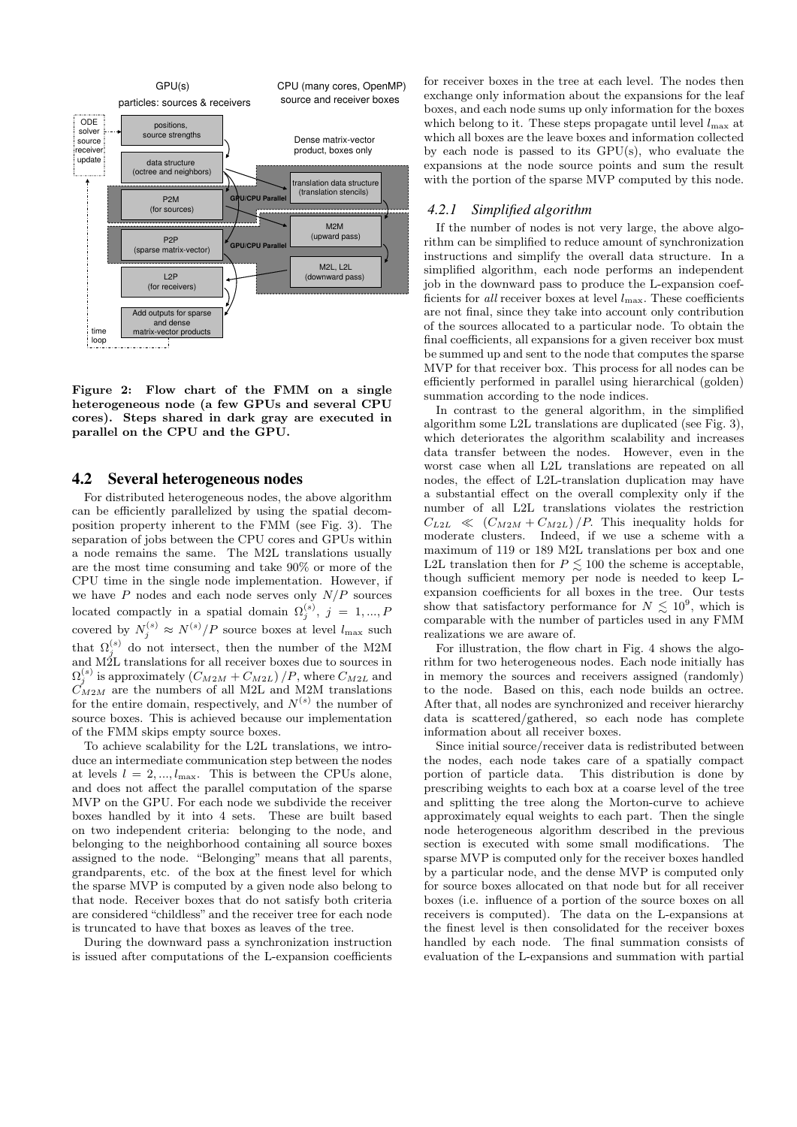

Figure 2: Flow chart of the FMM on a single heterogeneous node (a few GPUs and several CPU cores). Steps shared in dark gray are executed in parallel on the CPU and the GPU.

## 4.2 Several heterogeneous nodes

For distributed heterogeneous nodes, the above algorithm can be efficiently parallelized by using the spatial decomposition property inherent to the FMM (see Fig. 3). The separation of jobs between the CPU cores and GPUs within a node remains the same. The M2L translations usually are the most time consuming and take 90% or more of the CPU time in the single node implementation. However, if we have  $P$  nodes and each node serves only  $N/P$  sources located compactly in a spatial domain  $\Omega_j^{(s)}$ ,  $j = 1, ..., P$ covered by  $N_j^{(s)} \approx N^{(s)}/P$  source boxes at level  $l_{\text{max}}$  such that  $\Omega_j^{(s)}$  do not intersect, then the number of the M2M and M2L translations for all receiver boxes due to sources in  $\Omega_j^{(s)}$  is approximately  $(C_{M2M} + C_{M2L})/P$ , where  $C_{M2L}$  and  $\tilde{C}_{M2M}$  are the numbers of all M2L and M2M translations for the entire domain, respectively, and  $N^{(s)}$  the number of source boxes. This is achieved because our implementation of the FMM skips empty source boxes.

To achieve scalability for the L2L translations, we introduce an intermediate communication step between the nodes at levels  $l = 2, ..., l_{\text{max}}$ . This is between the CPUs alone, and does not affect the parallel computation of the sparse MVP on the GPU. For each node we subdivide the receiver boxes handled by it into 4 sets. These are built based on two independent criteria: belonging to the node, and belonging to the neighborhood containing all source boxes assigned to the node. "Belonging" means that all parents, grandparents, etc. of the box at the finest level for which the sparse MVP is computed by a given node also belong to that node. Receiver boxes that do not satisfy both criteria are considered "childless" and the receiver tree for each node is truncated to have that boxes as leaves of the tree.

During the downward pass a synchronization instruction is issued after computations of the L-expansion coefficients

for receiver boxes in the tree at each level. The nodes then exchange only information about the expansions for the leaf boxes, and each node sums up only information for the boxes which belong to it. These steps propagate until level  $l_{\text{max}}$  at which all boxes are the leave boxes and information collected by each node is passed to its GPU(s), who evaluate the expansions at the node source points and sum the result with the portion of the sparse MVP computed by this node.

#### *4.2.1 Simplified algorithm*

If the number of nodes is not very large, the above algorithm can be simplified to reduce amount of synchronization instructions and simplify the overall data structure. In a simplified algorithm, each node performs an independent job in the downward pass to produce the L-expansion coefficients for all receiver boxes at level  $l_{\text{max}}$ . These coefficients are not final, since they take into account only contribution of the sources allocated to a particular node. To obtain the final coefficients, all expansions for a given receiver box must be summed up and sent to the node that computes the sparse MVP for that receiver box. This process for all nodes can be efficiently performed in parallel using hierarchical (golden) summation according to the node indices.

In contrast to the general algorithm, in the simplified algorithm some L2L translations are duplicated (see Fig. 3), which deteriorates the algorithm scalability and increases data transfer between the nodes. However, even in the worst case when all L2L translations are repeated on all nodes, the effect of L2L-translation duplication may have a substantial effect on the overall complexity only if the number of all L2L translations violates the restriction  $C_{L2L} \ll (C_{M2M} + C_{M2L})/P$ . This inequality holds for moderate clusters. Indeed, if we use a scheme with a maximum of 119 or 189 M2L translations per box and one L2L translation then for  $P \leq 100$  the scheme is acceptable, though sufficient memory per node is needed to keep Lexpansion coefficients for all boxes in the tree. Our tests show that satisfactory performance for  $N \lesssim 10^9$ , which is comparable with the number of particles used in any FMM realizations we are aware of.

For illustration, the flow chart in Fig. 4 shows the algorithm for two heterogeneous nodes. Each node initially has in memory the sources and receivers assigned (randomly) to the node. Based on this, each node builds an octree. After that, all nodes are synchronized and receiver hierarchy data is scattered/gathered, so each node has complete information about all receiver boxes.

Since initial source/receiver data is redistributed between the nodes, each node takes care of a spatially compact portion of particle data. This distribution is done by prescribing weights to each box at a coarse level of the tree and splitting the tree along the Morton-curve to achieve approximately equal weights to each part. Then the single node heterogeneous algorithm described in the previous section is executed with some small modifications. The sparse MVP is computed only for the receiver boxes handled by a particular node, and the dense MVP is computed only for source boxes allocated on that node but for all receiver boxes (i.e. influence of a portion of the source boxes on all receivers is computed). The data on the L-expansions at the finest level is then consolidated for the receiver boxes handled by each node. The final summation consists of evaluation of the L-expansions and summation with partial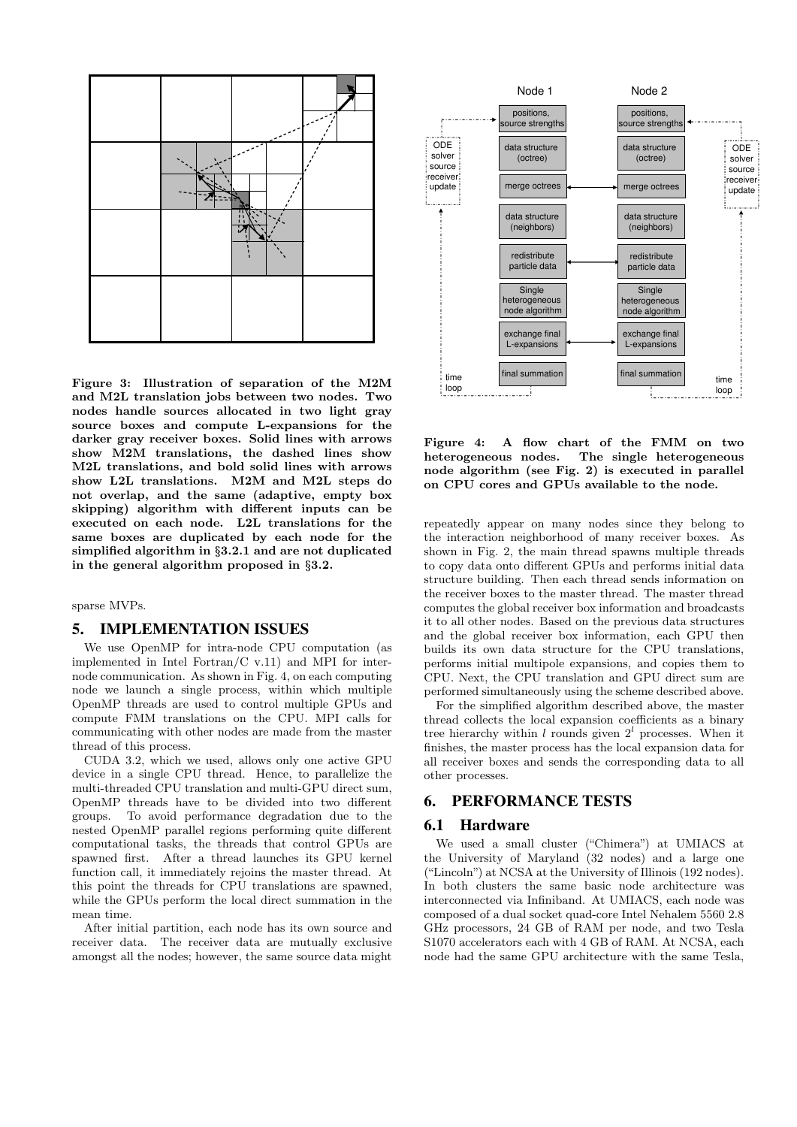

Figure 3: Illustration of separation of the M2M and M2L translation jobs between two nodes. Two nodes handle sources allocated in two light gray source boxes and compute L-expansions for the darker gray receiver boxes. Solid lines with arrows show M2M translations, the dashed lines show M2L translations, and bold solid lines with arrows show L2L translations. M2M and M2L steps do not overlap, and the same (adaptive, empty box skipping) algorithm with different inputs can be executed on each node. L2L translations for the same boxes are duplicated by each node for the simplified algorithm in §3.2.1 and are not duplicated in the general algorithm proposed in §3.2.

sparse MVPs.

## 5. IMPLEMENTATION ISSUES

We use OpenMP for intra-node CPU computation (as implemented in Intel Fortran/C v.11) and MPI for internode communication. As shown in Fig. 4, on each computing node we launch a single process, within which multiple OpenMP threads are used to control multiple GPUs and compute FMM translations on the CPU. MPI calls for communicating with other nodes are made from the master thread of this process.

CUDA 3.2, which we used, allows only one active GPU device in a single CPU thread. Hence, to parallelize the multi-threaded CPU translation and multi-GPU direct sum, OpenMP threads have to be divided into two different groups. To avoid performance degradation due to the nested OpenMP parallel regions performing quite different computational tasks, the threads that control GPUs are spawned first. After a thread launches its GPU kernel function call, it immediately rejoins the master thread. At this point the threads for CPU translations are spawned, while the GPUs perform the local direct summation in the mean time.

After initial partition, each node has its own source and receiver data. The receiver data are mutually exclusive amongst all the nodes; however, the same source data might



Figure 4: A flow chart of the FMM on two heterogeneous nodes. The single heterogeneous node algorithm (see Fig. 2) is executed in parallel on CPU cores and GPUs available to the node.

repeatedly appear on many nodes since they belong to the interaction neighborhood of many receiver boxes. As shown in Fig. 2, the main thread spawns multiple threads to copy data onto different GPUs and performs initial data structure building. Then each thread sends information on the receiver boxes to the master thread. The master thread computes the global receiver box information and broadcasts it to all other nodes. Based on the previous data structures and the global receiver box information, each GPU then builds its own data structure for the CPU translations, performs initial multipole expansions, and copies them to CPU. Next, the CPU translation and GPU direct sum are performed simultaneously using the scheme described above.

For the simplified algorithm described above, the master thread collects the local expansion coefficients as a binary tree hierarchy within l rounds given  $2<sup>l</sup>$  processes. When it finishes, the master process has the local expansion data for all receiver boxes and sends the corresponding data to all other processes.

## 6. PERFORMANCE TESTS

## 6.1 Hardware

We used a small cluster ("Chimera") at UMIACS at the University of Maryland (32 nodes) and a large one ("Lincoln") at NCSA at the University of Illinois (192 nodes). In both clusters the same basic node architecture was interconnected via Infiniband. At UMIACS, each node was composed of a dual socket quad-core Intel Nehalem 5560 2.8 GHz processors, 24 GB of RAM per node, and two Tesla S1070 accelerators each with 4 GB of RAM. At NCSA, each node had the same GPU architecture with the same Tesla,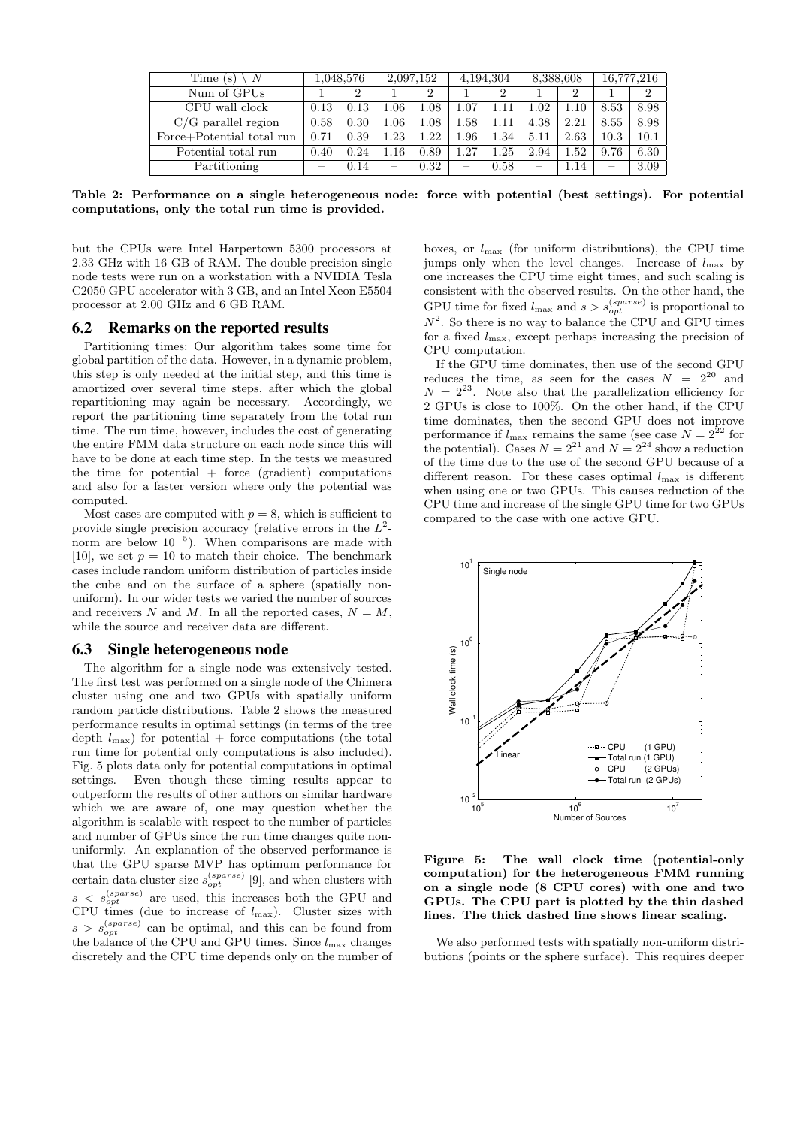| Time (s)                  | 1,048,576 |      |     | 2,097,152 | 4,194,304 |      | 8,388,608                |      | 16,777,216 |      |
|---------------------------|-----------|------|-----|-----------|-----------|------|--------------------------|------|------------|------|
| Num of GPUs               |           |      |     |           |           |      |                          |      |            |      |
| CPU wall clock            | 0.13      | 0.13 | .06 | 1.08      | $1.07\,$  |      | 1.02                     | 1.10 | 8.53       | 8.98 |
| $C/G$ parallel region     | 0.58      | 0.30 | .06 | 1.08      | 1.58      |      | 4.38                     | 2.21 | 8.55       | 8.98 |
| Force+Potential total run | 0.71      | 0.39 | .23 | 1.22      | 1.96      | 1.34 | 5.11                     | 2.63 | 10.3       | 10.1 |
| Potential total run       | 0.40      | 0.24 | .16 | 0.89      | 1.27      | .25  | 2.94                     | 1.52 | 9.76       | 6.30 |
| Partitioning              |           | 0.14 |     | 0.32      |           | 0.58 | $\overline{\phantom{0}}$ | 1.14 |            | 3.09 |

Table 2: Performance on a single heterogeneous node: force with potential (best settings). For potential computations, only the total run time is provided.

but the CPUs were Intel Harpertown 5300 processors at 2.33 GHz with 16 GB of RAM. The double precision single node tests were run on a workstation with a NVIDIA Tesla C2050 GPU accelerator with 3 GB, and an Intel Xeon E5504 processor at 2.00 GHz and 6 GB RAM.

#### 6.2 Remarks on the reported results

Partitioning times: Our algorithm takes some time for global partition of the data. However, in a dynamic problem, this step is only needed at the initial step, and this time is amortized over several time steps, after which the global repartitioning may again be necessary. Accordingly, we report the partitioning time separately from the total run time. The run time, however, includes the cost of generating the entire FMM data structure on each node since this will have to be done at each time step. In the tests we measured the time for potential  $+$  force (gradient) computations and also for a faster version where only the potential was computed.

Most cases are computed with  $p = 8$ , which is sufficient to provide single precision accuracy (relative errors in the  $L^2$ norm are below  $10^{-5}$ ). When comparisons are made with [10], we set  $p = 10$  to match their choice. The benchmark cases include random uniform distribution of particles inside the cube and on the surface of a sphere (spatially nonuniform). In our wider tests we varied the number of sources and receivers N and M. In all the reported cases,  $N = M$ , while the source and receiver data are different.

## 6.3 Single heterogeneous node

The algorithm for a single node was extensively tested. The first test was performed on a single node of the Chimera cluster using one and two GPUs with spatially uniform random particle distributions. Table 2 shows the measured performance results in optimal settings (in terms of the tree depth  $l_{\text{max}}$ ) for potential + force computations (the total run time for potential only computations is also included). Fig. 5 plots data only for potential computations in optimal settings. Even though these timing results appear to outperform the results of other authors on similar hardware which we are aware of, one may question whether the algorithm is scalable with respect to the number of particles and number of GPUs since the run time changes quite nonuniformly. An explanation of the observed performance is that the GPU sparse MVP has optimum performance for certain data cluster size  $s_{opt}^{(sparse)}$  [9], and when clusters with  $s < s_{opt}^{(sparse)}$  are used, this increases both the GPU and CPU times (due to increase of  $l_{\text{max}}$ ). Cluster sizes with  $s > s_{opt}^{(sparse)}$  can be optimal, and this can be found from the balance of the CPU and GPU times. Since  $l_{\text{max}}$  changes discretely and the CPU time depends only on the number of

boxes, or  $l_{\text{max}}$  (for uniform distributions), the CPU time jumps only when the level changes. Increase of  $l_{\text{max}}$  by one increases the CPU time eight times, and such scaling is consistent with the observed results. On the other hand, the GPU time for fixed  $l_{\text{max}}$  and  $s > s_{opt}^{(sparse)}$  is proportional to  $N^2$ . So there is no way to balance the CPU and GPU times for a fixed  $l_{\text{max}}$ , except perhaps increasing the precision of CPU computation.

If the GPU time dominates, then use of the second GPU reduces the time, as seen for the cases  $N = 2^{20}$  and  $N = 2^{23}$ . Note also that the parallelization efficiency for 2 GPUs is close to 100%. On the other hand, if the CPU time dominates, then the second GPU does not improve performance if  $l_{\text{max}}$  remains the same (see case  $N = 2^{22}$  for the potential). Cases  $N = 2^{21}$  and  $N = 2^{24}$  show a reduction of the time due to the use of the second GPU because of a different reason. For these cases optimal  $l_{\text{max}}$  is different when using one or two GPUs. This causes reduction of the CPU time and increase of the single GPU time for two GPUs compared to the case with one active GPU.



Figure 5: The wall clock time (potential-only computation) for the heterogeneous FMM running on a single node (8 CPU cores) with one and two GPUs. The CPU part is plotted by the thin dashed lines. The thick dashed line shows linear scaling.

We also performed tests with spatially non-uniform distributions (points or the sphere surface). This requires deeper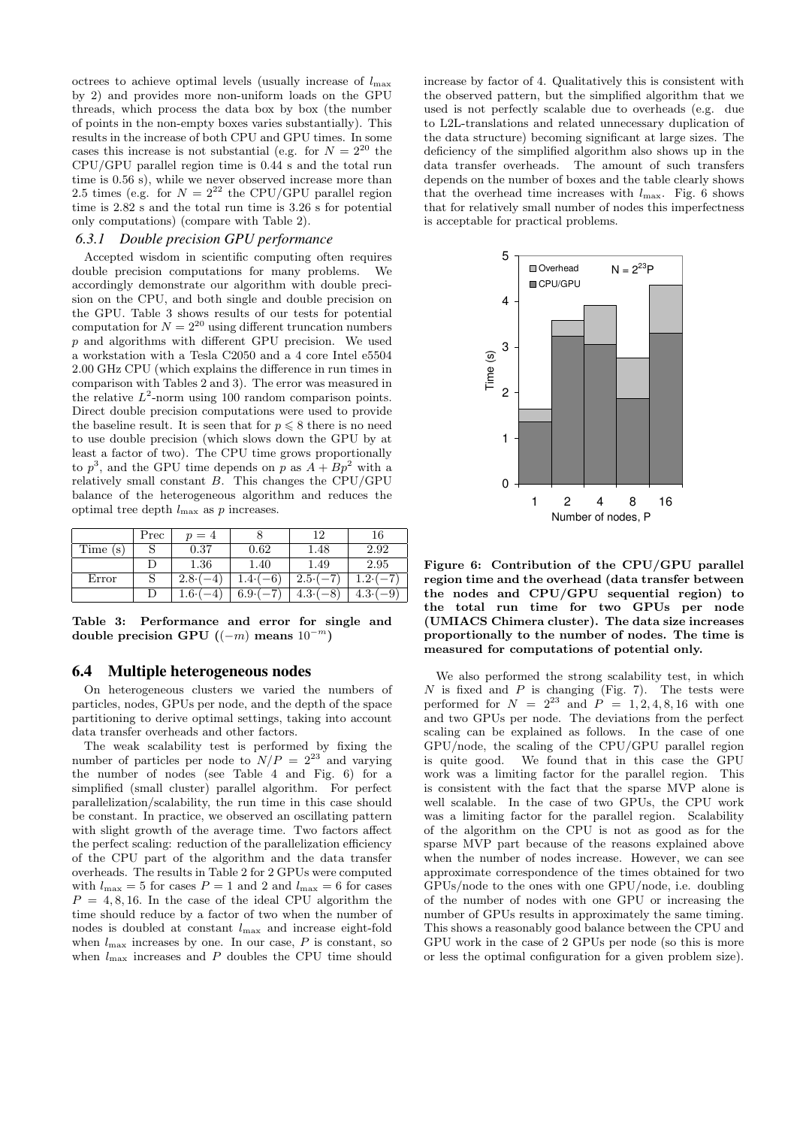octrees to achieve optimal levels (usually increase of  $l_{\text{max}}$ by 2) and provides more non-uniform loads on the GPU threads, which process the data box by box (the number of points in the non-empty boxes varies substantially). This results in the increase of both CPU and GPU times. In some cases this increase is not substantial (e.g. for  $N = 2^{20}$  the CPU/GPU parallel region time is 0.44 s and the total run time is 0.56 s), while we never observed increase more than 2.5 times (e.g. for  $N = 2^{22}$  the CPU/GPU parallel region time is 2.82 s and the total run time is 3.26 s for potential only computations) (compare with Table 2).

#### *6.3.1 Double precision GPU performance*

Accepted wisdom in scientific computing often requires double precision computations for many problems. We accordingly demonstrate our algorithm with double precision on the CPU, and both single and double precision on the GPU. Table 3 shows results of our tests for potential computation for  $N = 2^{20}$  using different truncation numbers p and algorithms with different GPU precision. We used a workstation with a Tesla C2050 and a 4 core Intel e5504 2.00 GHz CPU (which explains the difference in run times in comparison with Tables 2 and 3). The error was measured in the relative  $L^2$ -norm using 100 random comparison points. Direct double precision computations were used to provide the baseline result. It is seen that for  $p \leq 8$  there is no need to use double precision (which slows down the GPU by at least a factor of two). The CPU time grows proportionally to  $p^3$ , and the GPU time depends on p as  $A + Bp^2$  with a relatively small constant B. This changes the CPU/GPU balance of the heterogeneous algorithm and reduces the optimal tree depth  $l_{\text{max}}$  as p increases.

|          | Prec | $p = 4$ |           | 1 O     | 16   |
|----------|------|---------|-----------|---------|------|
| Time (s) |      | 0.37    | 0.62      | 1.48    | 2.92 |
|          |      | 1.36    | 1.40      | 1.49    | 2.95 |
| Error    |      | 2.8     | -6<br>4.4 | $2.5 -$ |      |
|          |      | ⊥.6∙′   | $6.9 -$   | 4.3.    | 4.3  |

Table 3: Performance and error for single and double precision GPU  $((-m)$  means  $10^{-m})$ 

#### 6.4 Multiple heterogeneous nodes

On heterogeneous clusters we varied the numbers of particles, nodes, GPUs per node, and the depth of the space partitioning to derive optimal settings, taking into account data transfer overheads and other factors.

The weak scalability test is performed by fixing the number of particles per node to  $N/P = 2^{23}$  and varying the number of nodes (see Table 4 and Fig. 6) for a simplified (small cluster) parallel algorithm. For perfect parallelization/scalability, the run time in this case should be constant. In practice, we observed an oscillating pattern with slight growth of the average time. Two factors affect the perfect scaling: reduction of the parallelization efficiency of the CPU part of the algorithm and the data transfer overheads. The results in Table 2 for 2 GPUs were computed with  $l_{\text{max}} = 5$  for cases  $P = 1$  and 2 and  $l_{\text{max}} = 6$  for cases  $P = 4, 8, 16$ . In the case of the ideal CPU algorithm the time should reduce by a factor of two when the number of nodes is doubled at constant lmax and increase eight-fold when  $l_{\text{max}}$  increases by one. In our case,  $P$  is constant, so when  $l_{\text{max}}$  increases and  $P$  doubles the CPU time should

increase by factor of 4. Qualitatively this is consistent with the observed pattern, but the simplified algorithm that we used is not perfectly scalable due to overheads (e.g. due to L2L-translations and related unnecessary duplication of the data structure) becoming significant at large sizes. The deficiency of the simplified algorithm also shows up in the data transfer overheads. The amount of such transfers depends on the number of boxes and the table clearly shows that the overhead time increases with  $l_{\text{max}}$ . Fig. 6 shows that for relatively small number of nodes this imperfectness is acceptable for practical problems.



Figure 6: Contribution of the CPU/GPU parallel region time and the overhead (data transfer between the nodes and CPU/GPU sequential region) to the total run time for two GPUs per node (UMIACS Chimera cluster). The data size increases proportionally to the number of nodes. The time is measured for computations of potential only.

We also performed the strong scalability test, in which  $N$  is fixed and  $P$  is changing (Fig. 7). The tests were performed for  $N = 2^{23}$  and  $P = 1, 2, 4, 8, 16$  with one and two GPUs per node. The deviations from the perfect scaling can be explained as follows. In the case of one GPU/node, the scaling of the CPU/GPU parallel region is quite good. We found that in this case the GPU work was a limiting factor for the parallel region. This is consistent with the fact that the sparse MVP alone is well scalable. In the case of two GPUs, the CPU work was a limiting factor for the parallel region. Scalability of the algorithm on the CPU is not as good as for the sparse MVP part because of the reasons explained above when the number of nodes increase. However, we can see approximate correspondence of the times obtained for two GPUs/node to the ones with one GPU/node, i.e. doubling of the number of nodes with one GPU or increasing the number of GPUs results in approximately the same timing. This shows a reasonably good balance between the CPU and GPU work in the case of 2 GPUs per node (so this is more or less the optimal configuration for a given problem size).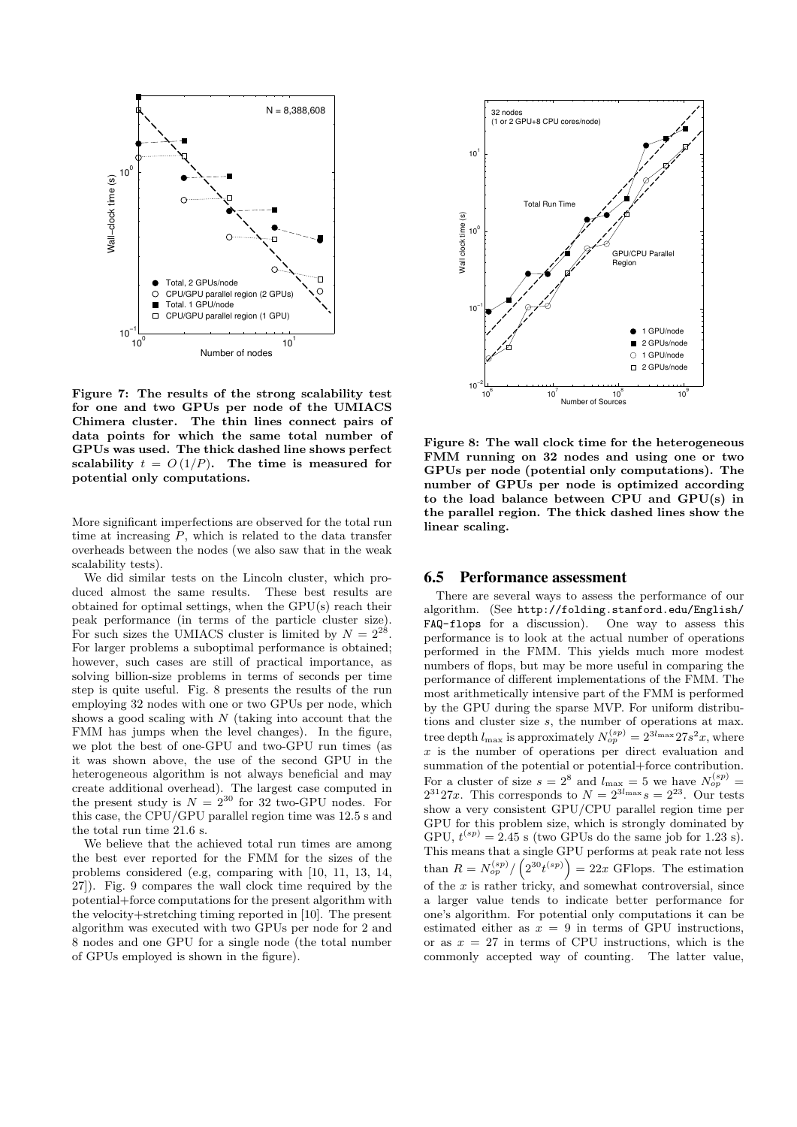

Figure 7: The results of the strong scalability test for one and two GPUs per node of the UMIACS Chimera cluster. The thin lines connect pairs of data points for which the same total number of GPUs was used. The thick dashed line shows perfect scalability  $t = O(1/P)$ . The time is measured for potential only computations.

More significant imperfections are observed for the total run time at increasing  $P$ , which is related to the data transfer overheads between the nodes (we also saw that in the weak scalability tests).

We did similar tests on the Lincoln cluster, which produced almost the same results. These best results are obtained for optimal settings, when the GPU(s) reach their peak performance (in terms of the particle cluster size). For such sizes the UMIACS cluster is limited by  $N = 2^{28}$ . For larger problems a suboptimal performance is obtained; however, such cases are still of practical importance, as solving billion-size problems in terms of seconds per time step is quite useful. Fig. 8 presents the results of the run employing 32 nodes with one or two GPUs per node, which shows a good scaling with  $N$  (taking into account that the FMM has jumps when the level changes). In the figure, we plot the best of one-GPU and two-GPU run times (as it was shown above, the use of the second GPU in the heterogeneous algorithm is not always beneficial and may create additional overhead). The largest case computed in the present study is  $N = 2^{30}$  for 32 two-GPU nodes. For this case, the CPU/GPU parallel region time was 12.5 s and the total run time 21.6 s.

We believe that the achieved total run times are among the best ever reported for the FMM for the sizes of the problems considered (e.g, comparing with [10, 11, 13, 14, 27]). Fig. 9 compares the wall clock time required by the potential+force computations for the present algorithm with the velocity+stretching timing reported in [10]. The present algorithm was executed with two GPUs per node for 2 and 8 nodes and one GPU for a single node (the total number of GPUs employed is shown in the figure).



Figure 8: The wall clock time for the heterogeneous FMM running on 32 nodes and using one or two GPUs per node (potential only computations). The number of GPUs per node is optimized according to the load balance between CPU and GPU(s) in the parallel region. The thick dashed lines show the linear scaling.

## 6.5 Performance assessment

There are several ways to assess the performance of our algorithm. (See http://folding.stanford.edu/English/<br>FAQ-flops for a discussion). One way to assess this  $FAQ-flops$  for a discussion). performance is to look at the actual number of operations performed in the FMM. This yields much more modest numbers of flops, but may be more useful in comparing the performance of different implementations of the FMM. The most arithmetically intensive part of the FMM is performed by the GPU during the sparse MVP. For uniform distributions and cluster size s, the number of operations at max. tree depth  $l_{\text{max}}$  is approximately  $N_{op}^{(sp)} = 2^{3l_{\text{max}}} 27s^2 x$ , where x is the number of operations per direct evaluation and summation of the potential or potential+force contribution. For a cluster of size  $s = 2^8$  and  $l_{\text{max}} = 5$  we have  $N_{op}^{(sp)} =$  $2^{31}27x$ . This corresponds to  $N = 2^{3l_{\max}} s = 2^{23}$ . Our tests show a very consistent GPU/CPU parallel region time per GPU for this problem size, which is strongly dominated by GPU,  $t^{(sp)} = 2.45$  s (two GPUs do the same job for 1.23 s). This means that a single GPU performs at peak rate not less than  $R = N_{op}^{(sp)}/(2^{30}t^{(sp)}) = 22x$  GFlops. The estimation of the  $x$  is rather tricky, and somewhat controversial, since a larger value tends to indicate better performance for one's algorithm. For potential only computations it can be estimated either as  $x = 9$  in terms of GPU instructions, or as  $x = 27$  in terms of CPU instructions, which is the commonly accepted way of counting. The latter value,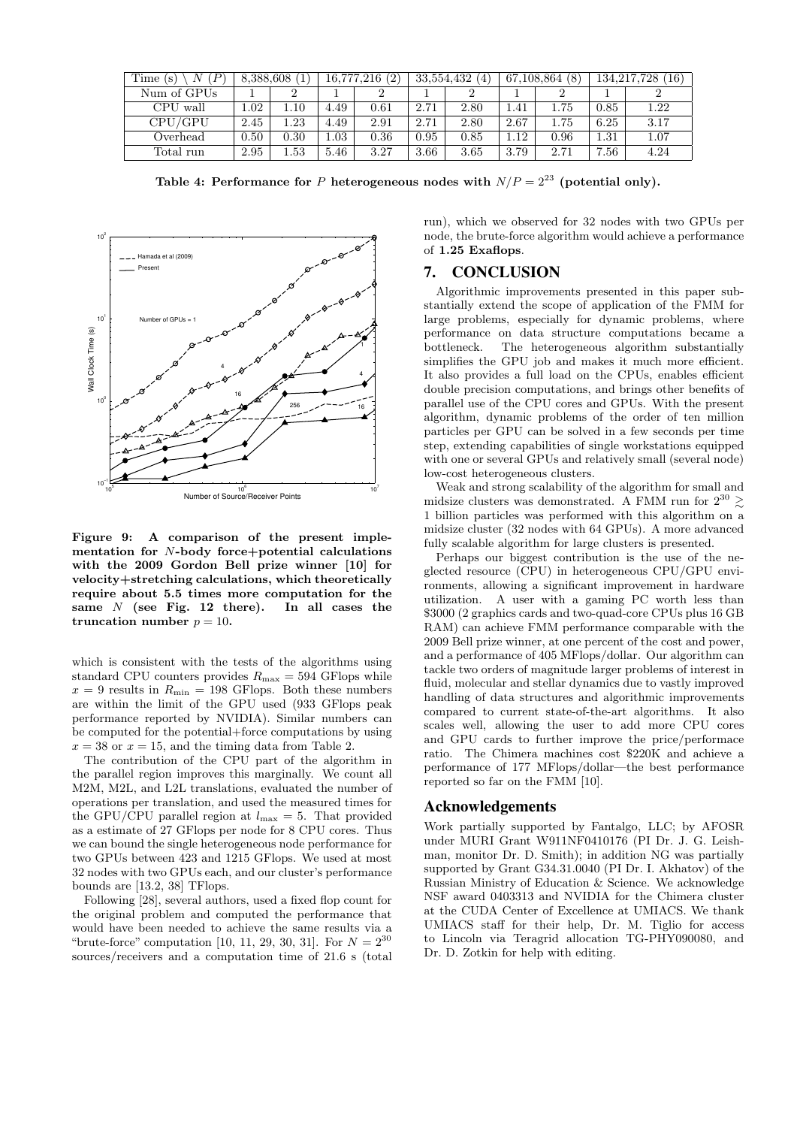| Time (s)<br>N | 8,388,608 |          | 16,777,216(2) |      | 33,554,432<br>4 |      | 67,108,864(8) |      | 134,217,728<br>$^{\prime}16)$ |      |
|---------------|-----------|----------|---------------|------|-----------------|------|---------------|------|-------------------------------|------|
| Num of GPUs   |           |          |               |      |                 |      |               |      |                               |      |
| CPU wall      | 1.02      | 1.10     | 4.49          | 0.61 | 2.71            | 2.80 | .41           | 1.75 | 0.85                          | 1.22 |
| CPU/GPU       | 2.45      | $1.23\,$ | 4.49          | 2.91 | 2.71            | 2.80 | 2.67          | 1.75 | 6.25                          | 3.17 |
| Overhead      | 0.50      | 0.30     | 1.03          | 0.36 | 0.95            | 0.85 | .12           | 0.96 | 1.31                          | 1.07 |
| Total run     | 2.95      | $1.53\,$ | 5.46          | 3.27 | 3.66            | 3.65 | 3.79          | 2.71 | 7.56                          | 4.24 |

Table 4: Performance for P heterogeneous nodes with  $N/P = 2^{23}$  (potential only).



Figure 9: A comparison of the present implementation for N-body force+potential calculations with the 2009 Gordon Bell prize winner [10] for velocity+stretching calculations, which theoretically require about 5.5 times more computation for the same  $N$  (see Fig. 12 there). In all cases the truncation number  $p = 10$ .

which is consistent with the tests of the algorithms using standard CPU counters provides  $R_{\text{max}} = 594$  GFlops while  $x = 9$  results in  $R_{\text{min}} = 198$  GFlops. Both these numbers are within the limit of the GPU used (933 GFlops peak performance reported by NVIDIA). Similar numbers can be computed for the potential+force computations by using  $x = 38$  or  $x = 15$ , and the timing data from Table 2.

The contribution of the CPU part of the algorithm in the parallel region improves this marginally. We count all M2M, M2L, and L2L translations, evaluated the number of operations per translation, and used the measured times for the GPU/CPU parallel region at  $l_{\text{max}} = 5$ . That provided as a estimate of 27 GFlops per node for 8 CPU cores. Thus we can bound the single heterogeneous node performance for two GPUs between 423 and 1215 GFlops. We used at most 32 nodes with two GPUs each, and our cluster's performance bounds are [13.2, 38] TFlops.

Following [28], several authors, used a fixed flop count for the original problem and computed the performance that would have been needed to achieve the same results via a "brute-force" computation [10, 11, 29, 30, 31]. For  $N = 2^{30}$ sources/receivers and a computation time of 21.6 s (total run), which we observed for 32 nodes with two GPUs per node, the brute-force algorithm would achieve a performance of 1.25 Exaflops.

## 7. CONCLUSION

Algorithmic improvements presented in this paper substantially extend the scope of application of the FMM for large problems, especially for dynamic problems, where performance on data structure computations became a bottleneck. The heterogeneous algorithm substantially simplifies the GPU job and makes it much more efficient. It also provides a full load on the CPUs, enables efficient double precision computations, and brings other benefits of parallel use of the CPU cores and GPUs. With the present algorithm, dynamic problems of the order of ten million particles per GPU can be solved in a few seconds per time step, extending capabilities of single workstations equipped with one or several GPUs and relatively small (several node) low-cost heterogeneous clusters.

Weak and strong scalability of the algorithm for small and midsize clusters was demonstrated. A FMM run for  $2^{30} \geq$ 1 billion particles was performed with this algorithm on a midsize cluster (32 nodes with 64 GPUs). A more advanced fully scalable algorithm for large clusters is presented.

Perhaps our biggest contribution is the use of the neglected resource (CPU) in heterogeneous CPU/GPU environments, allowing a significant improvement in hardware utilization. A user with a gaming PC worth less than \$3000 (2 graphics cards and two-quad-core CPUs plus 16 GB RAM) can achieve FMM performance comparable with the 2009 Bell prize winner, at one percent of the cost and power, and a performance of 405 MFlops/dollar. Our algorithm can tackle two orders of magnitude larger problems of interest in fluid, molecular and stellar dynamics due to vastly improved handling of data structures and algorithmic improvements compared to current state-of-the-art algorithms. It also scales well, allowing the user to add more CPU cores and GPU cards to further improve the price/performace ratio. The Chimera machines cost \$220K and achieve a performance of 177 MFlops/dollar—the best performance reported so far on the FMM [10].

## Acknowledgements

Work partially supported by Fantalgo, LLC; by AFOSR under MURI Grant W911NF0410176 (PI Dr. J. G. Leishman, monitor Dr. D. Smith); in addition NG was partially supported by Grant G34.31.0040 (PI Dr. I. Akhatov) of the Russian Ministry of Education & Science. We acknowledge NSF award 0403313 and NVIDIA for the Chimera cluster at the CUDA Center of Excellence at UMIACS. We thank UMIACS staff for their help, Dr. M. Tiglio for access to Lincoln via Teragrid allocation TG-PHY090080, and Dr. D. Zotkin for help with editing.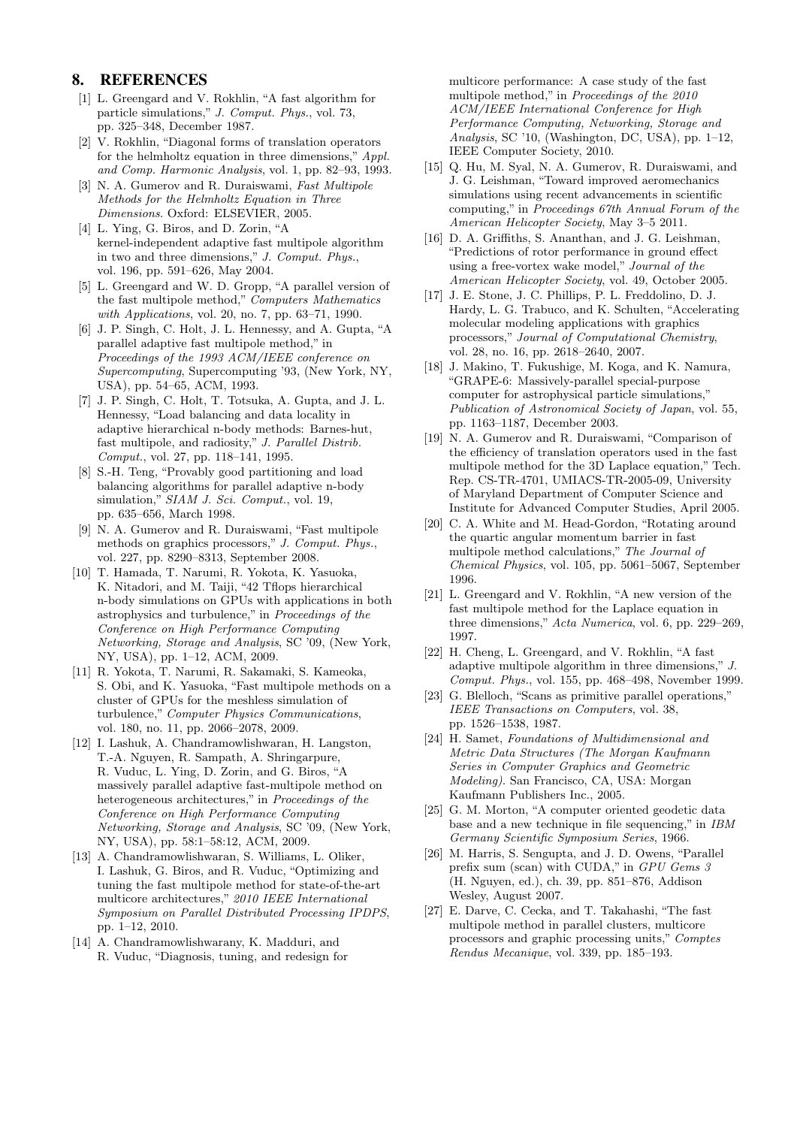# 8. REFERENCES

- [1] L. Greengard and V. Rokhlin, "A fast algorithm for particle simulations," J. Comput. Phys., vol. 73, pp. 325–348, December 1987.
- [2] V. Rokhlin, "Diagonal forms of translation operators for the helmholtz equation in three dimensions," Appl. and Comp. Harmonic Analysis, vol. 1, pp. 82–93, 1993.
- [3] N. A. Gumerov and R. Duraiswami, Fast Multipole Methods for the Helmholtz Equation in Three Dimensions. Oxford: ELSEVIER, 2005.
- [4] L. Ying, G. Biros, and D. Zorin, "A kernel-independent adaptive fast multipole algorithm in two and three dimensions," J. Comput. Phys., vol. 196, pp. 591–626, May 2004.
- [5] L. Greengard and W. D. Gropp, "A parallel version of the fast multipole method," Computers Mathematics with Applications, vol. 20, no. 7, pp. 63–71, 1990.
- [6] J. P. Singh, C. Holt, J. L. Hennessy, and A. Gupta, "A parallel adaptive fast multipole method," in Proceedings of the 1993 ACM/IEEE conference on Supercomputing, Supercomputing '93, (New York, NY, USA), pp. 54–65, ACM, 1993.
- [7] J. P. Singh, C. Holt, T. Totsuka, A. Gupta, and J. L. Hennessy, "Load balancing and data locality in adaptive hierarchical n-body methods: Barnes-hut, fast multipole, and radiosity," J. Parallel Distrib. Comput., vol. 27, pp. 118–141, 1995.
- [8] S.-H. Teng, "Provably good partitioning and load balancing algorithms for parallel adaptive n-body simulation," SIAM J. Sci. Comput., vol. 19, pp. 635–656, March 1998.
- [9] N. A. Gumerov and R. Duraiswami, "Fast multipole methods on graphics processors," J. Comput. Phys., vol. 227, pp. 8290–8313, September 2008.
- [10] T. Hamada, T. Narumi, R. Yokota, K. Yasuoka, K. Nitadori, and M. Taiji, "42 Tflops hierarchical n-body simulations on GPUs with applications in both astrophysics and turbulence," in Proceedings of the Conference on High Performance Computing Networking, Storage and Analysis, SC '09, (New York, NY, USA), pp. 1–12, ACM, 2009.
- [11] R. Yokota, T. Narumi, R. Sakamaki, S. Kameoka, S. Obi, and K. Yasuoka, "Fast multipole methods on a cluster of GPUs for the meshless simulation of turbulence," Computer Physics Communications, vol. 180, no. 11, pp. 2066–2078, 2009.
- [12] I. Lashuk, A. Chandramowlishwaran, H. Langston, T.-A. Nguyen, R. Sampath, A. Shringarpure, R. Vuduc, L. Ying, D. Zorin, and G. Biros, "A massively parallel adaptive fast-multipole method on heterogeneous architectures," in Proceedings of the Conference on High Performance Computing Networking, Storage and Analysis, SC '09, (New York, NY, USA), pp. 58:1–58:12, ACM, 2009.
- [13] A. Chandramowlishwaran, S. Williams, L. Oliker, I. Lashuk, G. Biros, and R. Vuduc, "Optimizing and tuning the fast multipole method for state-of-the-art multicore architectures," 2010 IEEE International Symposium on Parallel Distributed Processing IPDPS, pp. 1–12, 2010.
- [14] A. Chandramowlishwarany, K. Madduri, and R. Vuduc, "Diagnosis, tuning, and redesign for

multicore performance: A case study of the fast multipole method," in Proceedings of the 2010 ACM/IEEE International Conference for High Performance Computing, Networking, Storage and Analysis, SC '10, (Washington, DC, USA), pp. 1–12, IEEE Computer Society, 2010.

- [15] Q. Hu, M. Syal, N. A. Gumerov, R. Duraiswami, and J. G. Leishman, "Toward improved aeromechanics simulations using recent advancements in scientific computing," in Proceedings 67th Annual Forum of the American Helicopter Society, May 3–5 2011.
- [16] D. A. Griffiths, S. Ananthan, and J. G. Leishman, "Predictions of rotor performance in ground effect using a free-vortex wake model," Journal of the American Helicopter Society, vol. 49, October 2005.
- [17] J. E. Stone, J. C. Phillips, P. L. Freddolino, D. J. Hardy, L. G. Trabuco, and K. Schulten, "Accelerating molecular modeling applications with graphics processors," Journal of Computational Chemistry, vol. 28, no. 16, pp. 2618–2640, 2007.
- [18] J. Makino, T. Fukushige, M. Koga, and K. Namura, "GRAPE-6: Massively-parallel special-purpose computer for astrophysical particle simulations," Publication of Astronomical Society of Japan, vol. 55, pp. 1163–1187, December 2003.
- [19] N. A. Gumerov and R. Duraiswami, "Comparison of the efficiency of translation operators used in the fast multipole method for the 3D Laplace equation," Tech. Rep. CS-TR-4701, UMIACS-TR-2005-09, University of Maryland Department of Computer Science and Institute for Advanced Computer Studies, April 2005.
- [20] C. A. White and M. Head-Gordon, "Rotating around the quartic angular momentum barrier in fast multipole method calculations," The Journal of Chemical Physics, vol. 105, pp. 5061–5067, September 1996.
- [21] L. Greengard and V. Rokhlin, "A new version of the fast multipole method for the Laplace equation in three dimensions," Acta Numerica, vol. 6, pp. 229–269, 1997.
- [22] H. Cheng, L. Greengard, and V. Rokhlin, "A fast adaptive multipole algorithm in three dimensions,"  $J$ . Comput. Phys., vol. 155, pp. 468–498, November 1999.
- [23] G. Blelloch, "Scans as primitive parallel operations," IEEE Transactions on Computers, vol. 38, pp. 1526–1538, 1987.
- [24] H. Samet, Foundations of Multidimensional and Metric Data Structures (The Morgan Kaufmann Series in Computer Graphics and Geometric Modeling). San Francisco, CA, USA: Morgan Kaufmann Publishers Inc., 2005.
- [25] G. M. Morton, "A computer oriented geodetic data base and a new technique in file sequencing," in IBM Germany Scientific Symposium Series, 1966.
- [26] M. Harris, S. Sengupta, and J. D. Owens, "Parallel prefix sum (scan) with CUDA," in GPU Gems 3 (H. Nguyen, ed.), ch. 39, pp. 851–876, Addison Wesley, August 2007.
- [27] E. Darve, C. Cecka, and T. Takahashi, "The fast multipole method in parallel clusters, multicore processors and graphic processing units," Comptes Rendus Mecanique, vol. 339, pp. 185–193.